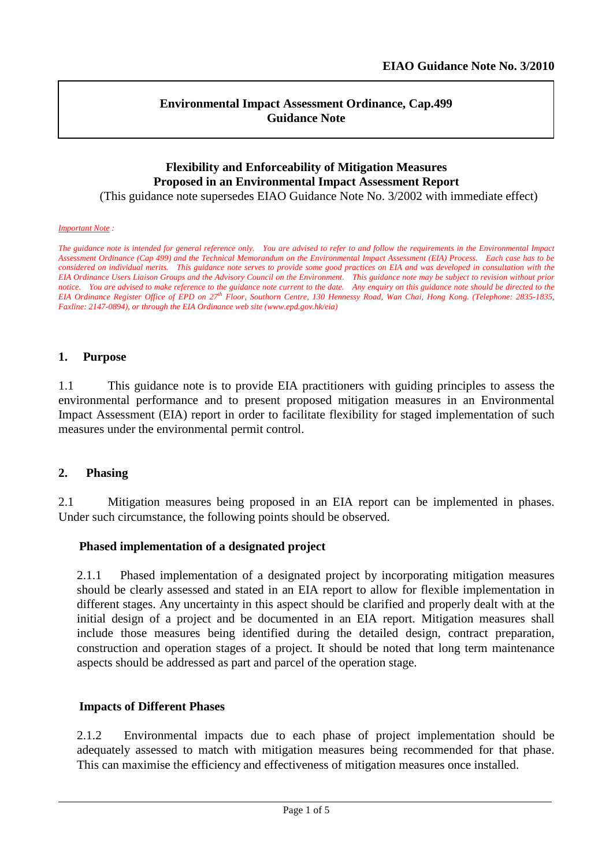l

### **Environmental Impact Assessment Ordinance, Cap.499 Guidance Note**

# **Flexibility and Enforceability of Mitigation Measures Proposed in an Environmental Impact Assessment Report**

(This guidance note supersedes EIAO Guidance Note No. 3/2002 with immediate effect)

#### *Important Note :*

*The guidance note is intended for general reference only. You are advised to refer to and follow the requirements in the Environmental Impact Assessment Ordinance (Cap 499) and the Technical Memorandum on the Environmental Impact Assessment (EIA) Process. Each case has to be considered on individual merits. This guidance note serves to provide some good practices on EIA and was developed in consultation with the EIA Ordinance Users Liaison Groups and the Advisory Council on the Environment. This guidance note may be subject to revision without prior notice. You are advised to make reference to the guidance note current to the date. Any enquiry on this guidance note should be directed to the EIA Ordinance Register Office of EPD on 27th Floor, Southorn Centre, 130 Hennessy Road, Wan Chai, Hong Kong. (Telephone: 2835-1835, Faxline: 2147-0894), or through the EIA Ordinance web site (www.epd.gov.hk/eia)*

#### **1. Purpose**

1.1 This guidance note is to provide EIA practitioners with guiding principles to assess the environmental performance and to present proposed mitigation measures in an Environmental Impact Assessment (EIA) report in order to facilitate flexibility for staged implementation of such measures under the environmental permit control.

### **2. Phasing**

2.1 Mitigation measures being proposed in an EIA report can be implemented in phases. Under such circumstance, the following points should be observed.

### **Phased implementation of a designated project**

2.1.1 Phased implementation of a designated project by incorporating mitigation measures should be clearly assessed and stated in an EIA report to allow for flexible implementation in different stages. Any uncertainty in this aspect should be clarified and properly dealt with at the initial design of a project and be documented in an EIA report. Mitigation measures shall include those measures being identified during the detailed design, contract preparation, construction and operation stages of a project. It should be noted that long term maintenance aspects should be addressed as part and parcel of the operation stage.

#### **Impacts of Different Phases**

2.1.2 Environmental impacts due to each phase of project implementation should be adequately assessed to match with mitigation measures being recommended for that phase. This can maximise the efficiency and effectiveness of mitigation measures once installed.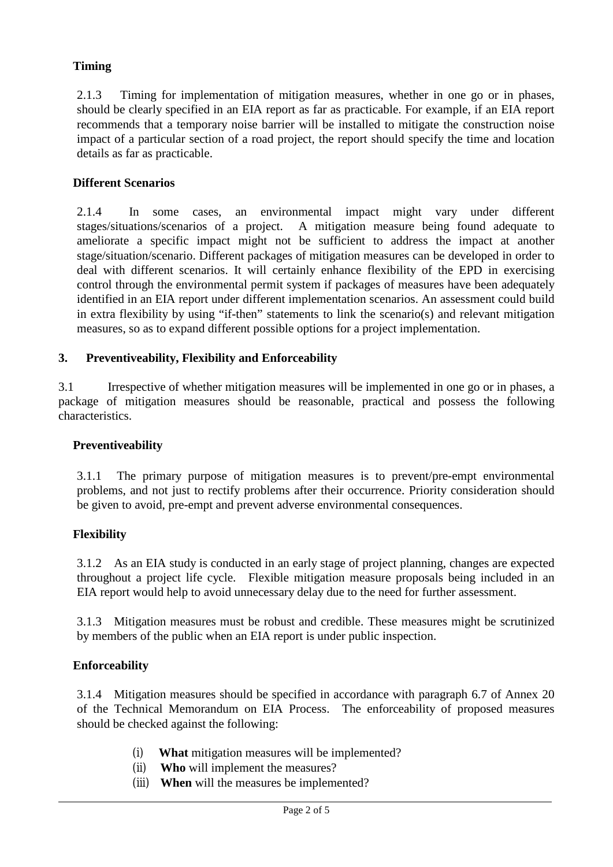## **Timing**

2.1.3 Timing for implementation of mitigation measures, whether in one go or in phases, should be clearly specified in an EIA report as far as practicable. For example, if an EIA report recommends that a temporary noise barrier will be installed to mitigate the construction noise impact of a particular section of a road project, the report should specify the time and location details as far as practicable.

## **Different Scenarios**

2.1.4 In some cases, an environmental impact might vary under different stages/situations/scenarios of a project. A mitigation measure being found adequate to ameliorate a specific impact might not be sufficient to address the impact at another stage/situation/scenario. Different packages of mitigation measures can be developed in order to deal with different scenarios. It will certainly enhance flexibility of the EPD in exercising control through the environmental permit system if packages of measures have been adequately identified in an EIA report under different implementation scenarios. An assessment could build in extra flexibility by using "if-then" statements to link the scenario(s) and relevant mitigation measures, so as to expand different possible options for a project implementation.

# **3. Preventiveability, Flexibility and Enforceability**

3.1 Irrespective of whether mitigation measures will be implemented in one go or in phases, a package of mitigation measures should be reasonable, practical and possess the following characteristics.

### **Preventiveability**

3.1.1 The primary purpose of mitigation measures is to prevent/pre-empt environmental problems, and not just to rectify problems after their occurrence. Priority consideration should be given to avoid, pre-empt and prevent adverse environmental consequences.

### **Flexibility**

3.1.2 As an EIA study is conducted in an early stage of project planning, changes are expected throughout a project life cycle. Flexible mitigation measure proposals being included in an EIA report would help to avoid unnecessary delay due to the need for further assessment.

3.1.3 Mitigation measures must be robust and credible. These measures might be scrutinized by members of the public when an EIA report is under public inspection.

### **Enforceability**

3.1.4 Mitigation measures should be specified in accordance with paragraph 6.7 of Annex 20 of the Technical Memorandum on EIA Process. The enforceability of proposed measures should be checked against the following:

- (i) **What** mitigation measures will be implemented?
- (ii) **Who** will implement the measures?
- (iii) **When** will the measures be implemented?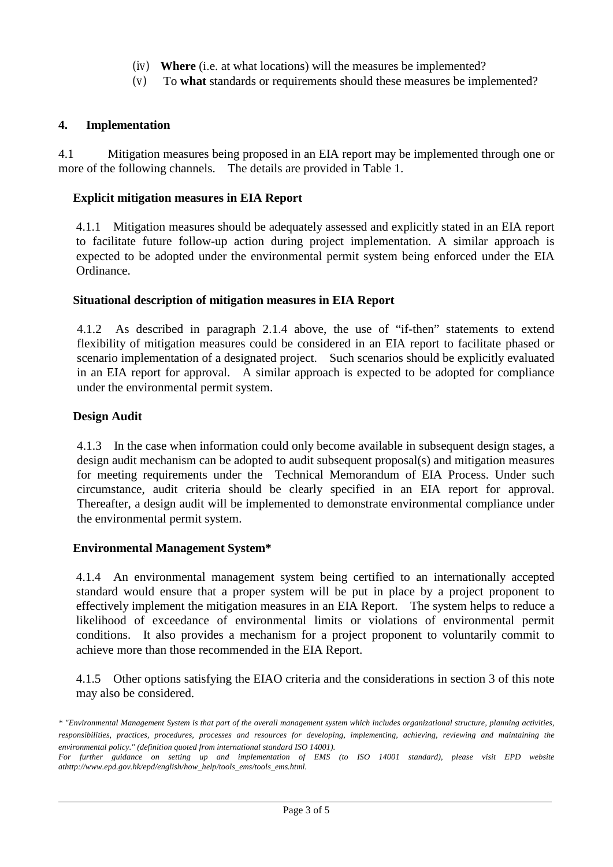- (iv) **Where** (i.e. at what locations) will the measures be implemented?
- (v) To **what** standards or requirements should these measures be implemented?

### **4. Implementation**

4.1 Mitigation measures being proposed in an EIA report may be implemented through one or more of the following channels. The details are provided in Table 1.

### **Explicit mitigation measures in EIA Report**

4.1.1 Mitigation measures should be adequately assessed and explicitly stated in an EIA report to facilitate future follow-up action during project implementation. A similar approach is expected to be adopted under the environmental permit system being enforced under the EIA Ordinance.

### **Situational description of mitigation measures in EIA Report**

4.1.2 As described in paragraph 2.1.4 above, the use of "if-then" statements to extend flexibility of mitigation measures could be considered in an EIA report to facilitate phased or scenario implementation of a designated project. Such scenarios should be explicitly evaluated in an EIA report for approval. A similar approach is expected to be adopted for compliance under the environmental permit system.

### **Design Audit**

4.1.3 In the case when information could only become available in subsequent design stages, a design audit mechanism can be adopted to audit subsequent proposal(s) and mitigation measures for meeting requirements under the Technical Memorandum of EIA Process. Under such circumstance, audit criteria should be clearly specified in an EIA report for approval. Thereafter, a design audit will be implemented to demonstrate environmental compliance under the environmental permit system.

### **Environmental Management System\***

4.1.4 An environmental management system being certified to an internationally accepted standard would ensure that a proper system will be put in place by a project proponent to effectively implement the mitigation measures in an EIA Report. The system helps to reduce a likelihood of exceedance of environmental limits or violations of environmental permit conditions. It also provides a mechanism for a project proponent to voluntarily commit to achieve more than those recommended in the EIA Report.

4.1.5 Other options satisfying the EIAO criteria and the considerations in section 3 of this note may also be considered.

*<sup>\* &</sup>quot;Environmental Management System is that part of the overall management system which includes organizational structure, planning activities, responsibilities, practices, procedures, processes and resources for developing, implementing, achieving, reviewing and maintaining the environmental policy." (definition quoted from international standard ISO 14001).*

For further guidance on setting up and implementation of EMS (to ISO 14001 standard), please visit EPD website *athttp://www.epd.gov.hk/epd/english/how\_help/tools\_ems/tools\_ems.html.*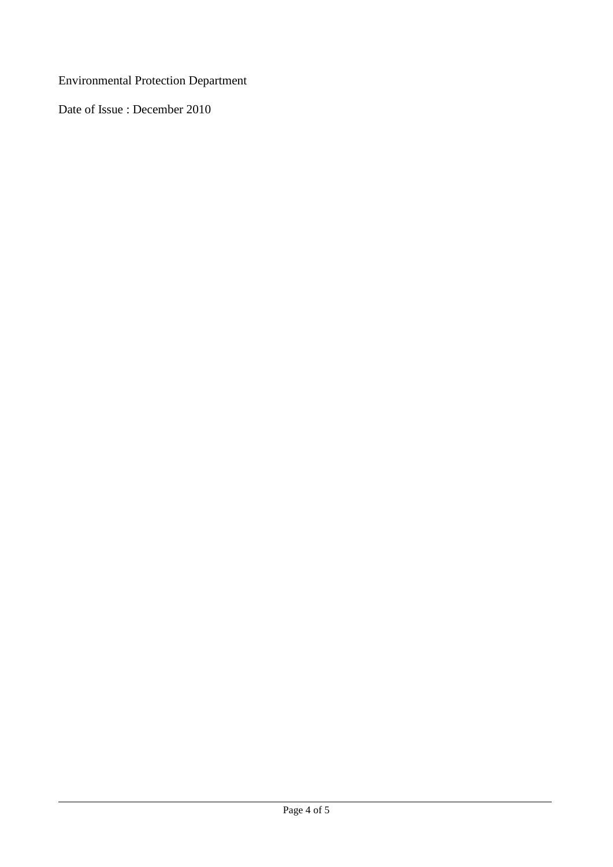Environmental Protection Department

Date of Issue : December 2010